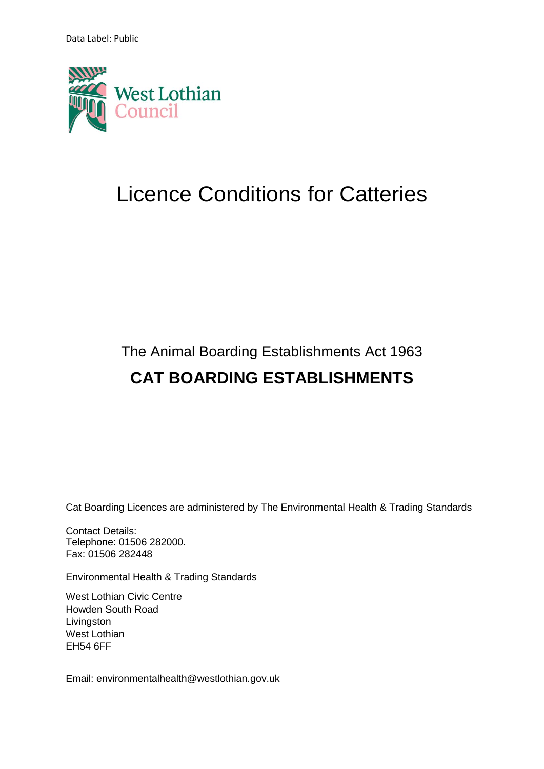Data Label: Public



# Licence Conditions for Catteries

## The Animal Boarding Establishments Act 1963 **CAT BOARDING ESTABLISHMENTS**

Cat Boarding Licences are administered by The Environmental Health & Trading Standards

Contact Details: Telephone: 01506 282000. Fax: 01506 282448

Environmental Health & Trading Standards

West Lothian Civic Centre Howden South Road Livingston West Lothian EH54 6FF

Email: [environmentalhealth@westlothian.gov.uk](mailto:environmentalhealth@westlothian.gov.uk)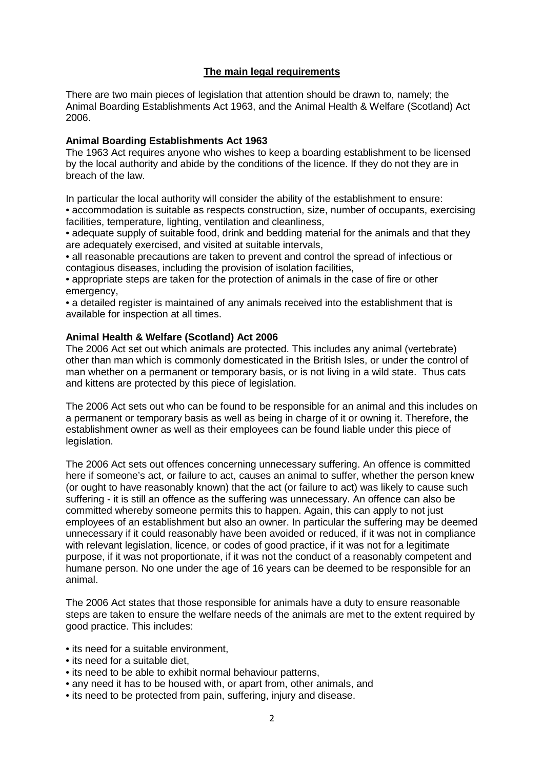## **The main legal requirements**

There are two main pieces of legislation that attention should be drawn to, namely; the Animal Boarding Establishments Act 1963, and the Animal Health & Welfare (Scotland) Act 2006.

#### **Animal Boarding Establishments Act 1963**

The 1963 Act requires anyone who wishes to keep a boarding establishment to be licensed by the local authority and abide by the conditions of the licence. If they do not they are in breach of the law.

In particular the local authority will consider the ability of the establishment to ensure: • accommodation is suitable as respects construction, size, number of occupants, exercising facilities, temperature, lighting, ventilation and cleanliness,

• adequate supply of suitable food, drink and bedding material for the animals and that they are adequately exercised, and visited at suitable intervals,

• all reasonable precautions are taken to prevent and control the spread of infectious or contagious diseases, including the provision of isolation facilities,

• appropriate steps are taken for the protection of animals in the case of fire or other emergency,

• a detailed register is maintained of any animals received into the establishment that is available for inspection at all times.

#### **Animal Health & Welfare (Scotland) Act 2006**

The 2006 Act set out which animals are protected. This includes any animal (vertebrate) other than man which is commonly domesticated in the British Isles, or under the control of man whether on a permanent or temporary basis, or is not living in a wild state. Thus cats and kittens are protected by this piece of legislation.

The 2006 Act sets out who can be found to be responsible for an animal and this includes on a permanent or temporary basis as well as being in charge of it or owning it. Therefore, the establishment owner as well as their employees can be found liable under this piece of legislation.

The 2006 Act sets out offences concerning unnecessary suffering. An offence is committed here if someone's act, or failure to act, causes an animal to suffer, whether the person knew (or ought to have reasonably known) that the act (or failure to act) was likely to cause such suffering - it is still an offence as the suffering was unnecessary. An offence can also be committed whereby someone permits this to happen. Again, this can apply to not just employees of an establishment but also an owner. In particular the suffering may be deemed unnecessary if it could reasonably have been avoided or reduced, if it was not in compliance with relevant legislation, licence, or codes of good practice, if it was not for a legitimate purpose, if it was not proportionate, if it was not the conduct of a reasonably competent and humane person. No one under the age of 16 years can be deemed to be responsible for an animal.

The 2006 Act states that those responsible for animals have a duty to ensure reasonable steps are taken to ensure the welfare needs of the animals are met to the extent required by good practice. This includes:

- its need for a suitable environment.
- its need for a suitable diet.
- its need to be able to exhibit normal behaviour patterns,
- any need it has to be housed with, or apart from, other animals, and
- its need to be protected from pain, suffering, injury and disease.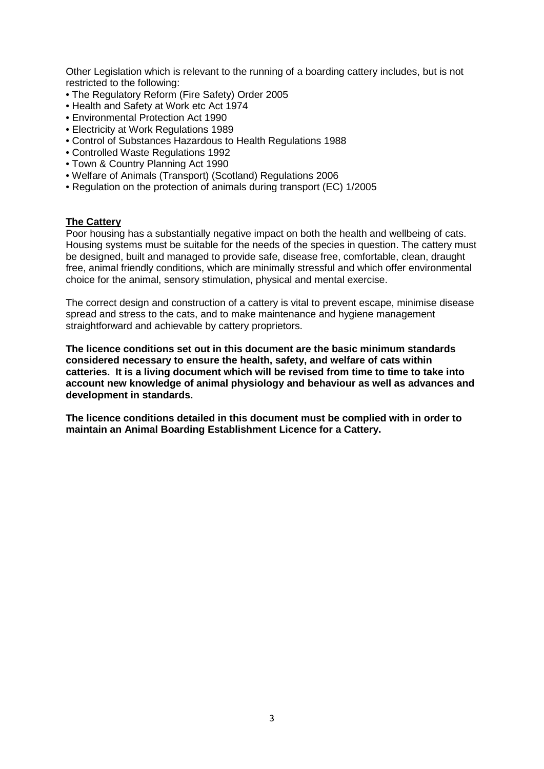Other Legislation which is relevant to the running of a boarding cattery includes, but is not restricted to the following:

- The Regulatory Reform (Fire Safety) Order 2005
- Health and Safety at Work etc Act 1974
- Environmental Protection Act 1990
- Electricity at Work Regulations 1989
- Control of Substances Hazardous to Health Regulations 1988
- Controlled Waste Regulations 1992
- Town & Country Planning Act 1990
- Welfare of Animals (Transport) (Scotland) Regulations 2006
- Regulation on the protection of animals during transport (EC) 1/2005

## **The Cattery**

Poor housing has a substantially negative impact on both the health and wellbeing of cats. Housing systems must be suitable for the needs of the species in question. The cattery must be designed, built and managed to provide safe, disease free, comfortable, clean, draught free, animal friendly conditions, which are minimally stressful and which offer environmental choice for the animal, sensory stimulation, physical and mental exercise.

The correct design and construction of a cattery is vital to prevent escape, minimise disease spread and stress to the cats, and to make maintenance and hygiene management straightforward and achievable by cattery proprietors.

**The licence conditions set out in this document are the basic minimum standards considered necessary to ensure the health, safety, and welfare of cats within catteries. It is a living document which will be revised from time to time to take into account new knowledge of animal physiology and behaviour as well as advances and development in standards.** 

**The licence conditions detailed in this document must be complied with in order to maintain an Animal Boarding Establishment Licence for a Cattery.**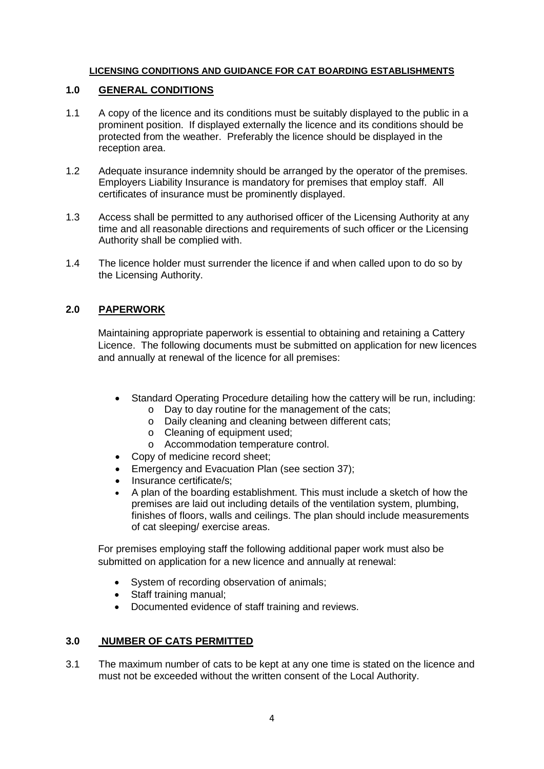## **LICENSING CONDITIONS AND GUIDANCE FOR CAT BOARDING ESTABLISHMENTS**

## **1.0 GENERAL CONDITIONS**

- 1.1 A copy of the licence and its conditions must be suitably displayed to the public in a prominent position. If displayed externally the licence and its conditions should be protected from the weather. Preferably the licence should be displayed in the reception area.
- 1.2 Adequate insurance indemnity should be arranged by the operator of the premises. Employers Liability Insurance is mandatory for premises that employ staff. All certificates of insurance must be prominently displayed.
- 1.3 Access shall be permitted to any authorised officer of the Licensing Authority at any time and all reasonable directions and requirements of such officer or the Licensing Authority shall be complied with.
- 1.4 The licence holder must surrender the licence if and when called upon to do so by the Licensing Authority.

## **2.0 PAPERWORK**

Maintaining appropriate paperwork is essential to obtaining and retaining a Cattery Licence. The following documents must be submitted on application for new licences and annually at renewal of the licence for all premises:

- Standard Operating Procedure detailing how the cattery will be run, including:
	- o Day to day routine for the management of the cats;
	- o Daily cleaning and cleaning between different cats;
	- o Cleaning of equipment used;
	- o Accommodation temperature control.
- Copy of medicine record sheet;
- Emergency and Evacuation Plan (see section 37);
- Insurance certificate/s;
- A plan of the boarding establishment. This must include a sketch of how the premises are laid out including details of the ventilation system, plumbing, finishes of floors, walls and ceilings. The plan should include measurements of cat sleeping/ exercise areas.

For premises employing staff the following additional paper work must also be submitted on application for a new licence and annually at renewal:

- System of recording observation of animals;
- Staff training manual;
- Documented evidence of staff training and reviews.

## **3.0 NUMBER OF CATS PERMITTED**

3.1 The maximum number of cats to be kept at any one time is stated on the licence and must not be exceeded without the written consent of the Local Authority.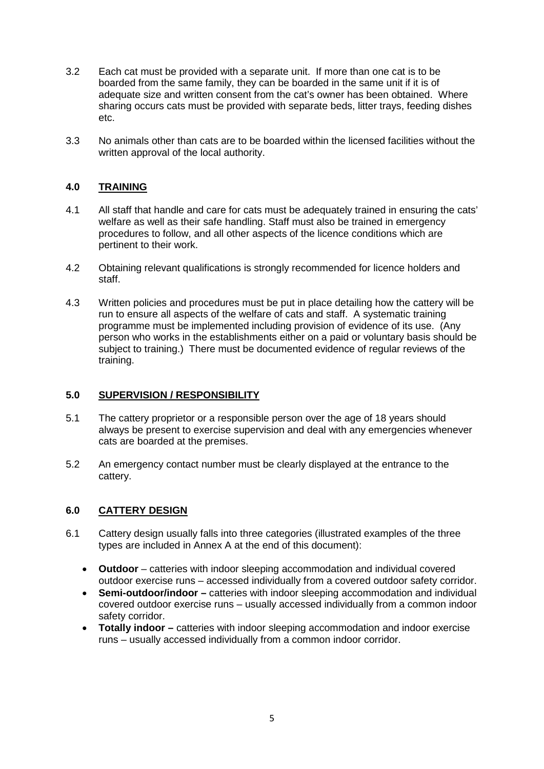- 3.2 Each cat must be provided with a separate unit. If more than one cat is to be boarded from the same family, they can be boarded in the same unit if it is of adequate size and written consent from the cat's owner has been obtained. Where sharing occurs cats must be provided with separate beds, litter trays, feeding dishes etc.
- 3.3 No animals other than cats are to be boarded within the licensed facilities without the written approval of the local authority.

## **4.0 TRAINING**

- 4.1 All staff that handle and care for cats must be adequately trained in ensuring the cats' welfare as well as their safe handling. Staff must also be trained in emergency procedures to follow, and all other aspects of the licence conditions which are pertinent to their work.
- 4.2 Obtaining relevant qualifications is strongly recommended for licence holders and staff.
- 4.3 Written policies and procedures must be put in place detailing how the cattery will be run to ensure all aspects of the welfare of cats and staff. A systematic training programme must be implemented including provision of evidence of its use. (Any person who works in the establishments either on a paid or voluntary basis should be subject to training.) There must be documented evidence of regular reviews of the training.

## **5.0 SUPERVISION / RESPONSIBILITY**

- 5.1 The cattery proprietor or a responsible person over the age of 18 years should always be present to exercise supervision and deal with any emergencies whenever cats are boarded at the premises.
- 5.2 An emergency contact number must be clearly displayed at the entrance to the cattery.

## **6.0 CATTERY DESIGN**

- 6.1 Cattery design usually falls into three categories (illustrated examples of the three types are included in Annex A at the end of this document):
	- **Outdoor**  catteries with indoor sleeping accommodation and individual covered outdoor exercise runs – accessed individually from a covered outdoor safety corridor.
	- **Semi-outdoor/indoor –** catteries with indoor sleeping accommodation and individual covered outdoor exercise runs – usually accessed individually from a common indoor safety corridor.
	- **Totally indoor –** catteries with indoor sleeping accommodation and indoor exercise runs – usually accessed individually from a common indoor corridor.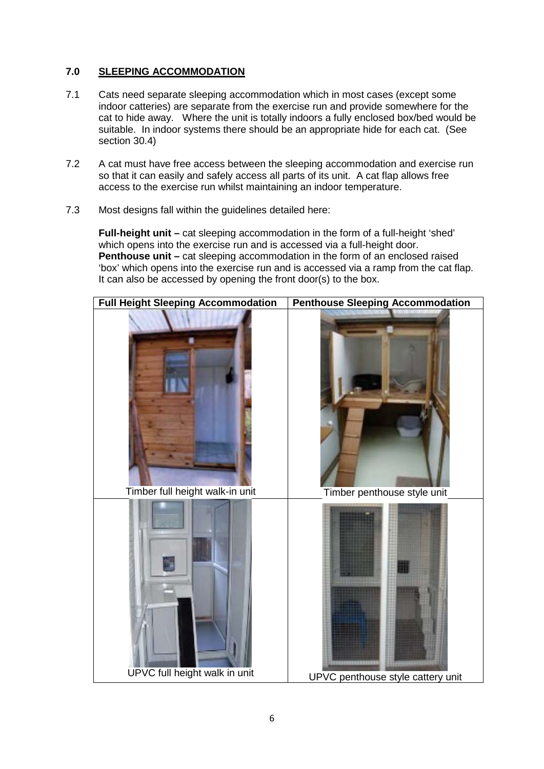## **7.0 SLEEPING ACCOMMODATION**

- 7.1 Cats need separate sleeping accommodation which in most cases (except some indoor catteries) are separate from the exercise run and provide somewhere for the cat to hide away. Where the unit is totally indoors a fully enclosed box/bed would be suitable. In indoor systems there should be an appropriate hide for each cat. (See section 30.4)
- 7.2 A cat must have free access between the sleeping accommodation and exercise run so that it can easily and safely access all parts of its unit. A cat flap allows free access to the exercise run whilst maintaining an indoor temperature.
- 7.3 Most designs fall within the guidelines detailed here:

**Full-height unit –** cat sleeping accommodation in the form of a full-height 'shed' which opens into the exercise run and is accessed via a full-height door. **Penthouse unit** – cat sleeping accommodation in the form of an enclosed raised 'box' which opens into the exercise run and is accessed via a ramp from the cat flap. It can also be accessed by opening the front door(s) to the box.

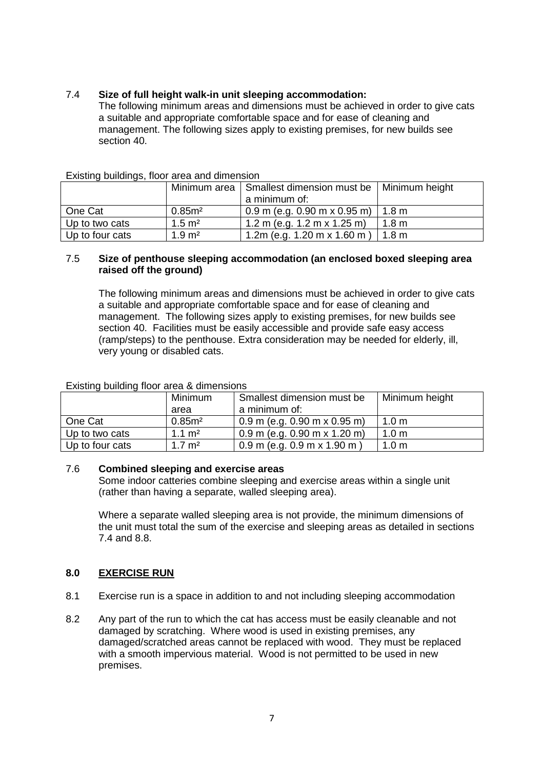## 7.4 **Size of full height walk-in unit sleeping accommodation:**

The following minimum areas and dimensions must be achieved in order to give cats a suitable and appropriate comfortable space and for ease of cleaning and management. The following sizes apply to existing premises, for new builds see section 40.

|                 |                   | Minimum area   Smallest dimension must be   Minimum height |                  |
|-----------------|-------------------|------------------------------------------------------------|------------------|
|                 |                   | a minimum of:                                              |                  |
| One Cat         | 0.85 <sup>2</sup> | $0.9$ m (e.g. 0.90 m x 0.95 m)   1.8 m                     |                  |
| Up to two cats  | $1.5 \text{ m}^2$ | 1.2 m (e.g. 1.2 m x 1.25 m)                                | 1.8 <sub>m</sub> |
| Up to four cats | $1.9 \text{ m}^2$ | 1.2m (e.g. 1.20 m x 1.60 m)                                | 1.8 <sub>m</sub> |

#### Existing buildings, floor area and dimension

#### 7.5 **Size of penthouse sleeping accommodation (an enclosed boxed sleeping area raised off the ground)**

The following minimum areas and dimensions must be achieved in order to give cats a suitable and appropriate comfortable space and for ease of cleaning and management. The following sizes apply to existing premises, for new builds see section 40. Facilities must be easily accessible and provide safe easy access (ramp/steps) to the penthouse. Extra consideration may be needed for elderly, ill, very young or disabled cats.

| LAISting Dallaring HOOT area & all heriotis |                   |                                 |                  |
|---------------------------------------------|-------------------|---------------------------------|------------------|
|                                             | <b>Minimum</b>    | Smallest dimension must be      | Minimum height   |
|                                             | area              | a minimum of:                   |                  |
| One Cat                                     | 0.85 <sup>2</sup> | $0.9$ m (e.g. 0.90 m x 0.95 m)  | 1.0 <sub>m</sub> |
| Up to two cats                              | $1.1 \text{ m}^2$ | $0.9$ m (e.g. 0.90 m x 1.20 m)  | 1.0 <sub>m</sub> |
| Up to four cats                             | $1.7 \text{ m}^2$ | $0.9$ m (e.g. $0.9$ m x 1.90 m) | 1.0 <sub>m</sub> |

Existing building floor area & dimensions

#### 7.6 **Combined sleeping and exercise areas**

Some indoor catteries combine sleeping and exercise areas within a single unit (rather than having a separate, walled sleeping area).

Where a separate walled sleeping area is not provide, the minimum dimensions of the unit must total the sum of the exercise and sleeping areas as detailed in sections 7.4 and 8.8.

## **8.0 EXERCISE RUN**

- 8.1 Exercise run is a space in addition to and not including sleeping accommodation
- 8.2 Any part of the run to which the cat has access must be easily cleanable and not damaged by scratching. Where wood is used in existing premises, any damaged/scratched areas cannot be replaced with wood. They must be replaced with a smooth impervious material. Wood is not permitted to be used in new premises.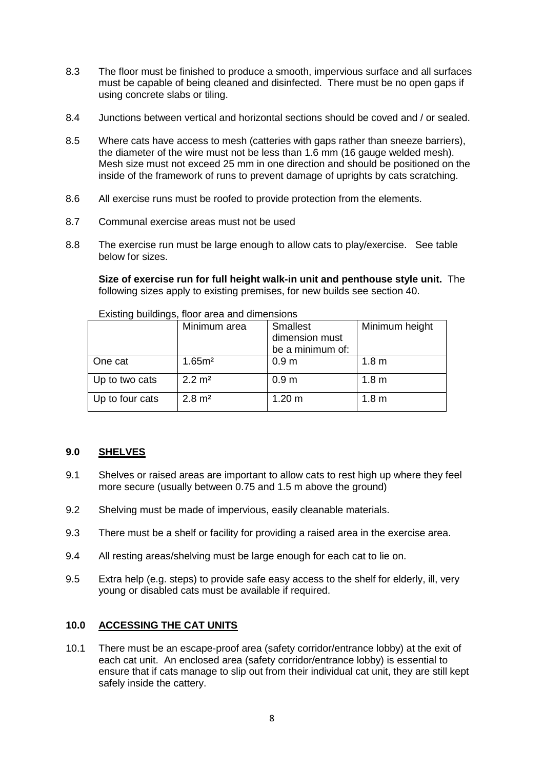- 8.3 The floor must be finished to produce a smooth, impervious surface and all surfaces must be capable of being cleaned and disinfected. There must be no open gaps if using concrete slabs or tiling.
- 8.4 Junctions between vertical and horizontal sections should be coved and / or sealed.
- 8.5 Where cats have access to mesh (catteries with gaps rather than sneeze barriers), the diameter of the wire must not be less than 1.6 mm (16 gauge welded mesh). Mesh size must not exceed 25 mm in one direction and should be positioned on the inside of the framework of runs to prevent damage of uprights by cats scratching.
- 8.6 All exercise runs must be roofed to provide protection from the elements.
- 8.7 Communal exercise areas must not be used
- 8.8 The exercise run must be large enough to allow cats to play/exercise. See table below for sizes.

**Size of exercise run for full height walk-in unit and penthouse style unit.** The following sizes apply to existing premises, for new builds see section 40.

|                 | Minimum area       | <b>Smallest</b>  | Minimum height   |
|-----------------|--------------------|------------------|------------------|
|                 |                    | dimension must   |                  |
|                 |                    | be a minimum of: |                  |
| One cat         | 1.65 <sup>m²</sup> | 0.9 <sub>m</sub> | 1.8 <sub>m</sub> |
| Up to two cats  | $2.2 \text{ m}^2$  | 0.9 <sub>m</sub> | 1.8 <sub>m</sub> |
| Up to four cats | $2.8 \text{ m}^2$  | 1.20 m           | 1.8 <sub>m</sub> |

Existing buildings, floor area and dimensions

## **9.0 SHELVES**

- 9.1 Shelves or raised areas are important to allow cats to rest high up where they feel more secure (usually between 0.75 and 1.5 m above the ground)
- 9.2 Shelving must be made of impervious, easily cleanable materials.
- 9.3 There must be a shelf or facility for providing a raised area in the exercise area.
- 9.4 All resting areas/shelving must be large enough for each cat to lie on.
- 9.5 Extra help (e.g. steps) to provide safe easy access to the shelf for elderly, ill, very young or disabled cats must be available if required.

## **10.0 ACCESSING THE CAT UNITS**

10.1 There must be an escape-proof area (safety corridor/entrance lobby) at the exit of each cat unit. An enclosed area (safety corridor/entrance lobby) is essential to ensure that if cats manage to slip out from their individual cat unit, they are still kept safely inside the cattery.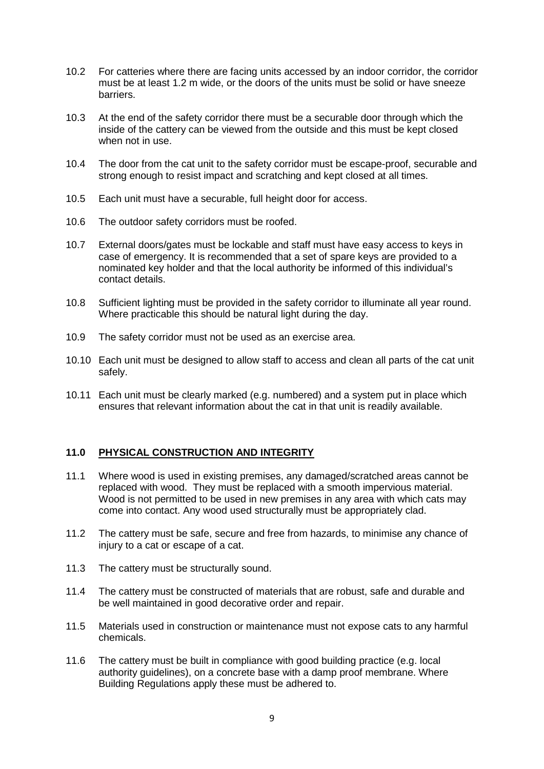- 10.2 For catteries where there are facing units accessed by an indoor corridor, the corridor must be at least 1.2 m wide, or the doors of the units must be solid or have sneeze barriers.
- 10.3 At the end of the safety corridor there must be a securable door through which the inside of the cattery can be viewed from the outside and this must be kept closed when not in use.
- 10.4 The door from the cat unit to the safety corridor must be escape-proof, securable and strong enough to resist impact and scratching and kept closed at all times.
- 10.5 Each unit must have a securable, full height door for access.
- 10.6 The outdoor safety corridors must be roofed.
- 10.7 External doors/gates must be lockable and staff must have easy access to keys in case of emergency. It is recommended that a set of spare keys are provided to a nominated key holder and that the local authority be informed of this individual's contact details.
- 10.8 Sufficient lighting must be provided in the safety corridor to illuminate all year round. Where practicable this should be natural light during the day.
- 10.9 The safety corridor must not be used as an exercise area.
- 10.10 Each unit must be designed to allow staff to access and clean all parts of the cat unit safely.
- 10.11 Each unit must be clearly marked (e.g. numbered) and a system put in place which ensures that relevant information about the cat in that unit is readily available.

## **11.0 PHYSICAL CONSTRUCTION AND INTEGRITY**

- 11.1 Where wood is used in existing premises, any damaged/scratched areas cannot be replaced with wood. They must be replaced with a smooth impervious material. Wood is not permitted to be used in new premises in any area with which cats may come into contact. Any wood used structurally must be appropriately clad.
- 11.2 The cattery must be safe, secure and free from hazards, to minimise any chance of injury to a cat or escape of a cat.
- 11.3 The cattery must be structurally sound.
- 11.4 The cattery must be constructed of materials that are robust, safe and durable and be well maintained in good decorative order and repair.
- 11.5 Materials used in construction or maintenance must not expose cats to any harmful chemicals.
- 11.6 The cattery must be built in compliance with good building practice (e.g. local authority guidelines), on a concrete base with a damp proof membrane. Where Building Regulations apply these must be adhered to.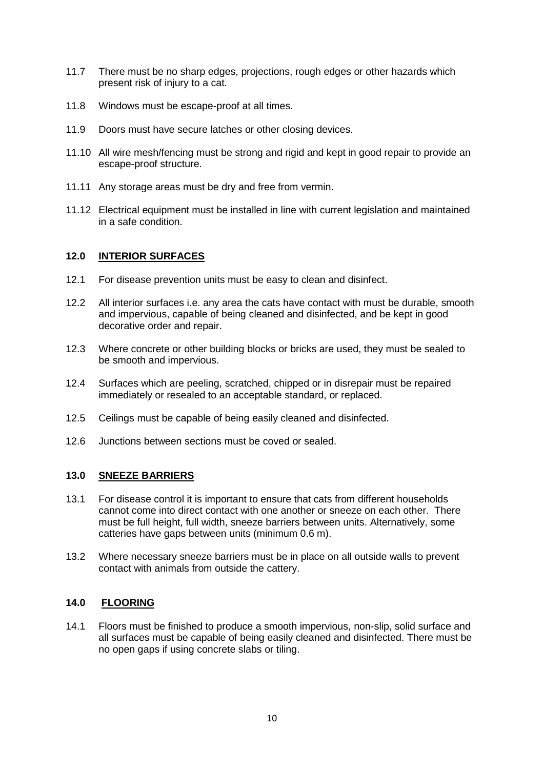- 11.7 There must be no sharp edges, projections, rough edges or other hazards which present risk of injury to a cat.
- 11.8 Windows must be escape-proof at all times.
- 11.9 Doors must have secure latches or other closing devices.
- 11.10 All wire mesh/fencing must be strong and rigid and kept in good repair to provide an escape-proof structure.
- 11.11 Any storage areas must be dry and free from vermin.
- 11.12 Electrical equipment must be installed in line with current legislation and maintained in a safe condition.

## **12.0 INTERIOR SURFACES**

- 12.1 For disease prevention units must be easy to clean and disinfect.
- 12.2 All interior surfaces i.e. any area the cats have contact with must be durable, smooth and impervious, capable of being cleaned and disinfected, and be kept in good decorative order and repair.
- 12.3 Where concrete or other building blocks or bricks are used, they must be sealed to be smooth and impervious.
- 12.4 Surfaces which are peeling, scratched, chipped or in disrepair must be repaired immediately or resealed to an acceptable standard, or replaced.
- 12.5 Ceilings must be capable of being easily cleaned and disinfected.
- 12.6 Junctions between sections must be coved or sealed.

## **13.0 SNEEZE BARRIERS**

- 13.1 For disease control it is important to ensure that cats from different households cannot come into direct contact with one another or sneeze on each other. There must be full height, full width, sneeze barriers between units. Alternatively, some catteries have gaps between units (minimum 0.6 m).
- 13.2 Where necessary sneeze barriers must be in place on all outside walls to prevent contact with animals from outside the cattery.

## **14.0 FLOORING**

14.1 Floors must be finished to produce a smooth impervious, non-slip, solid surface and all surfaces must be capable of being easily cleaned and disinfected. There must be no open gaps if using concrete slabs or tiling.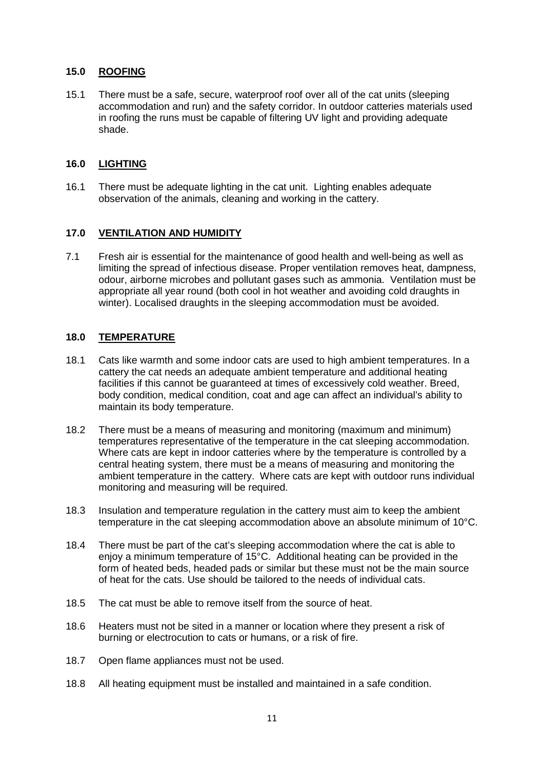## **15.0 ROOFING**

15.1 There must be a safe, secure, waterproof roof over all of the cat units (sleeping accommodation and run) and the safety corridor. In outdoor catteries materials used in roofing the runs must be capable of filtering UV light and providing adequate shade.

## **16.0 LIGHTING**

16.1 There must be adequate lighting in the cat unit. Lighting enables adequate observation of the animals, cleaning and working in the cattery.

## **17.0 VENTILATION AND HUMIDITY**

7.1 Fresh air is essential for the maintenance of good health and well-being as well as limiting the spread of infectious disease. Proper ventilation removes heat, dampness, odour, airborne microbes and pollutant gases such as ammonia. Ventilation must be appropriate all year round (both cool in hot weather and avoiding cold draughts in winter). Localised draughts in the sleeping accommodation must be avoided.

## **18.0 TEMPERATURE**

- 18.1 Cats like warmth and some indoor cats are used to high ambient temperatures. In a cattery the cat needs an adequate ambient temperature and additional heating facilities if this cannot be guaranteed at times of excessively cold weather. Breed, body condition, medical condition, coat and age can affect an individual's ability to maintain its body temperature.
- 18.2 There must be a means of measuring and monitoring (maximum and minimum) temperatures representative of the temperature in the cat sleeping accommodation. Where cats are kept in indoor catteries where by the temperature is controlled by a central heating system, there must be a means of measuring and monitoring the ambient temperature in the cattery. Where cats are kept with outdoor runs individual monitoring and measuring will be required.
- 18.3 Insulation and temperature regulation in the cattery must aim to keep the ambient temperature in the cat sleeping accommodation above an absolute minimum of 10°C.
- 18.4 There must be part of the cat's sleeping accommodation where the cat is able to enjoy a minimum temperature of 15°C. Additional heating can be provided in the form of heated beds, headed pads or similar but these must not be the main source of heat for the cats. Use should be tailored to the needs of individual cats.
- 18.5 The cat must be able to remove itself from the source of heat.
- 18.6 Heaters must not be sited in a manner or location where they present a risk of burning or electrocution to cats or humans, or a risk of fire.
- 18.7 Open flame appliances must not be used.
- 18.8 All heating equipment must be installed and maintained in a safe condition.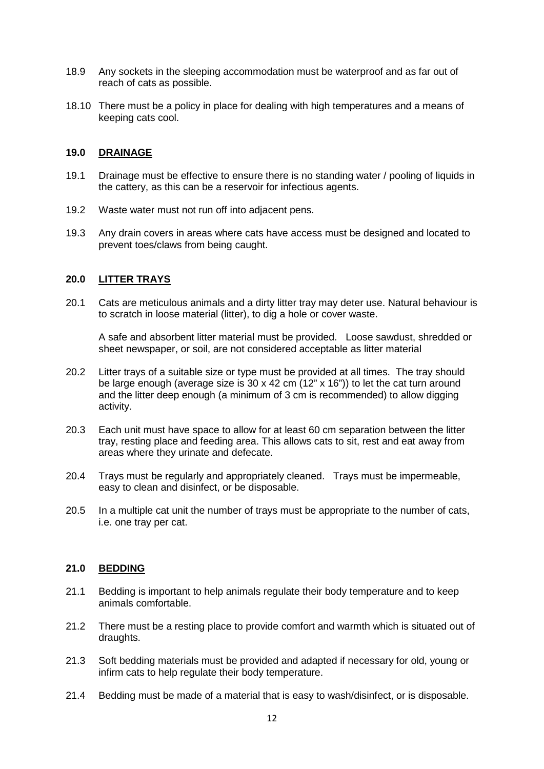- 18.9 Any sockets in the sleeping accommodation must be waterproof and as far out of reach of cats as possible.
- 18.10 There must be a policy in place for dealing with high temperatures and a means of keeping cats cool.

#### **19.0 DRAINAGE**

- 19.1 Drainage must be effective to ensure there is no standing water / pooling of liquids in the cattery, as this can be a reservoir for infectious agents.
- 19.2 Waste water must not run off into adjacent pens.
- 19.3 Any drain covers in areas where cats have access must be designed and located to prevent toes/claws from being caught.

#### **20.0 LITTER TRAYS**

20.1 Cats are meticulous animals and a dirty litter tray may deter use. Natural behaviour is to scratch in loose material (litter), to dig a hole or cover waste.

A safe and absorbent litter material must be provided. Loose sawdust, shredded or sheet newspaper, or soil, are not considered acceptable as litter material

- 20.2 Litter trays of a suitable size or type must be provided at all times. The tray should be large enough (average size is 30 x 42 cm (12" x 16")) to let the cat turn around and the litter deep enough (a minimum of 3 cm is recommended) to allow digging activity.
- 20.3 Each unit must have space to allow for at least 60 cm separation between the litter tray, resting place and feeding area. This allows cats to sit, rest and eat away from areas where they urinate and defecate.
- 20.4 Trays must be regularly and appropriately cleaned. Trays must be impermeable, easy to clean and disinfect, or be disposable.
- 20.5 In a multiple cat unit the number of trays must be appropriate to the number of cats, i.e. one tray per cat.

#### **21.0 BEDDING**

- 21.1 Bedding is important to help animals regulate their body temperature and to keep animals comfortable.
- 21.2 There must be a resting place to provide comfort and warmth which is situated out of draughts.
- 21.3 Soft bedding materials must be provided and adapted if necessary for old, young or infirm cats to help regulate their body temperature.
- 21.4 Bedding must be made of a material that is easy to wash/disinfect, or is disposable.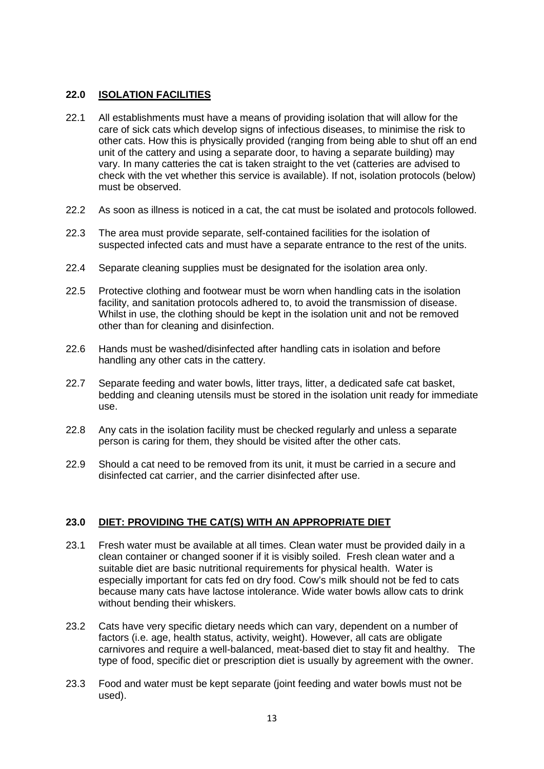## **22.0 ISOLATION FACILITIES**

- 22.1 All establishments must have a means of providing isolation that will allow for the care of sick cats which develop signs of infectious diseases, to minimise the risk to other cats. How this is physically provided (ranging from being able to shut off an end unit of the cattery and using a separate door, to having a separate building) may vary. In many catteries the cat is taken straight to the vet (catteries are advised to check with the vet whether this service is available). If not, isolation protocols (below) must be observed.
- 22.2 As soon as illness is noticed in a cat, the cat must be isolated and protocols followed.
- 22.3 The area must provide separate, self-contained facilities for the isolation of suspected infected cats and must have a separate entrance to the rest of the units.
- 22.4 Separate cleaning supplies must be designated for the isolation area only.
- 22.5 Protective clothing and footwear must be worn when handling cats in the isolation facility, and sanitation protocols adhered to, to avoid the transmission of disease. Whilst in use, the clothing should be kept in the isolation unit and not be removed other than for cleaning and disinfection.
- 22.6 Hands must be washed/disinfected after handling cats in isolation and before handling any other cats in the cattery.
- 22.7 Separate feeding and water bowls, litter trays, litter, a dedicated safe cat basket, bedding and cleaning utensils must be stored in the isolation unit ready for immediate use.
- 22.8 Any cats in the isolation facility must be checked regularly and unless a separate person is caring for them, they should be visited after the other cats.
- 22.9 Should a cat need to be removed from its unit, it must be carried in a secure and disinfected cat carrier, and the carrier disinfected after use.

## **23.0 DIET: PROVIDING THE CAT(S) WITH AN APPROPRIATE DIET**

- 23.1 Fresh water must be available at all times. Clean water must be provided daily in a clean container or changed sooner if it is visibly soiled. Fresh clean water and a suitable diet are basic nutritional requirements for physical health. Water is especially important for cats fed on dry food. Cow's milk should not be fed to cats because many cats have lactose intolerance. Wide water bowls allow cats to drink without bending their whiskers.
- 23.2 Cats have very specific dietary needs which can vary, dependent on a number of factors (i.e. age, health status, activity, weight). However, all cats are obligate carnivores and require a well-balanced, meat-based diet to stay fit and healthy. The type of food, specific diet or prescription diet is usually by agreement with the owner.
- 23.3 Food and water must be kept separate (joint feeding and water bowls must not be used).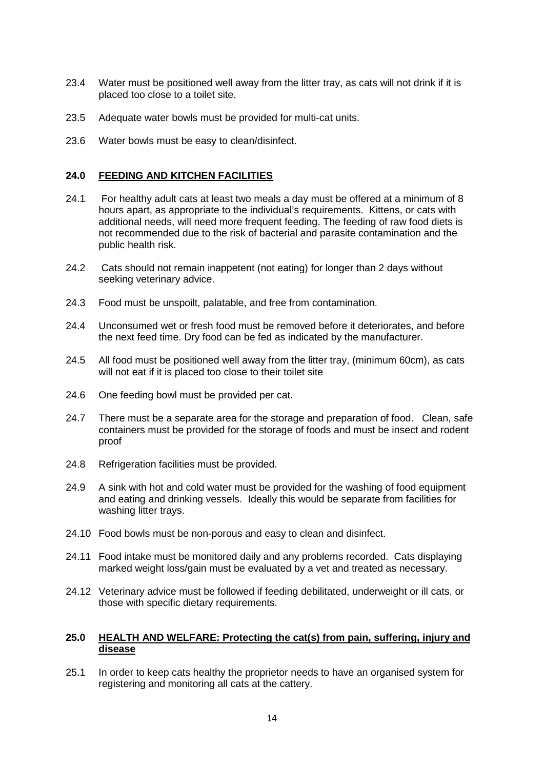- 23.4 Water must be positioned well away from the litter tray, as cats will not drink if it is placed too close to a toilet site.
- 23.5 Adequate water bowls must be provided for multi-cat units.
- 23.6 Water bowls must be easy to clean/disinfect.

#### **24.0 FEEDING AND KITCHEN FACILITIES**

- 24.1 For healthy adult cats at least two meals a day must be offered at a minimum of 8 hours apart, as appropriate to the individual's requirements. Kittens, or cats with additional needs, will need more frequent feeding. The feeding of raw food diets is not recommended due to the risk of bacterial and parasite contamination and the public health risk.
- 24.2 Cats should not remain inappetent (not eating) for longer than 2 days without seeking veterinary advice.
- 24.3 Food must be unspoilt, palatable, and free from contamination.
- 24.4 Unconsumed wet or fresh food must be removed before it deteriorates, and before the next feed time. Dry food can be fed as indicated by the manufacturer.
- 24.5 All food must be positioned well away from the litter tray, (minimum 60cm), as cats will not eat if it is placed too close to their toilet site
- 24.6 One feeding bowl must be provided per cat.
- 24.7 There must be a separate area for the storage and preparation of food. Clean, safe containers must be provided for the storage of foods and must be insect and rodent proof
- 24.8 Refrigeration facilities must be provided.
- 24.9 A sink with hot and cold water must be provided for the washing of food equipment and eating and drinking vessels. Ideally this would be separate from facilities for washing litter trays.
- 24.10 Food bowls must be non-porous and easy to clean and disinfect.
- 24.11 Food intake must be monitored daily and any problems recorded. Cats displaying marked weight loss/gain must be evaluated by a vet and treated as necessary.
- 24.12 Veterinary advice must be followed if feeding debilitated, underweight or ill cats, or those with specific dietary requirements.

## **25.0 HEALTH AND WELFARE: Protecting the cat(s) from pain, suffering, injury and disease**

25.1 In order to keep cats healthy the proprietor needs to have an organised system for registering and monitoring all cats at the cattery.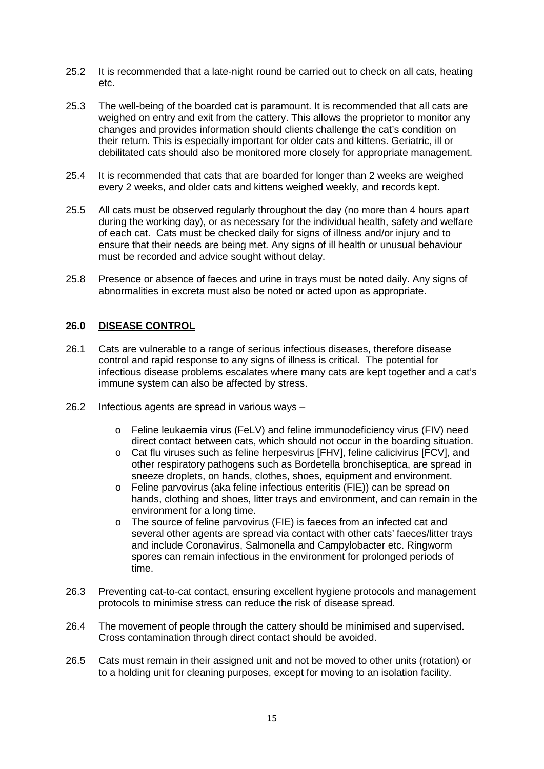- 25.2 It is recommended that a late-night round be carried out to check on all cats, heating etc.
- 25.3 The well-being of the boarded cat is paramount. It is recommended that all cats are weighed on entry and exit from the cattery. This allows the proprietor to monitor any changes and provides information should clients challenge the cat's condition on their return. This is especially important for older cats and kittens. Geriatric, ill or debilitated cats should also be monitored more closely for appropriate management.
- 25.4 It is recommended that cats that are boarded for longer than 2 weeks are weighed every 2 weeks, and older cats and kittens weighed weekly, and records kept.
- 25.5 All cats must be observed regularly throughout the day (no more than 4 hours apart during the working day), or as necessary for the individual health, safety and welfare of each cat. Cats must be checked daily for signs of illness and/or injury and to ensure that their needs are being met. Any signs of ill health or unusual behaviour must be recorded and advice sought without delay.
- 25.8 Presence or absence of faeces and urine in trays must be noted daily. Any signs of abnormalities in excreta must also be noted or acted upon as appropriate.

## **26.0 DISEASE CONTROL**

- 26.1 Cats are vulnerable to a range of serious infectious diseases, therefore disease control and rapid response to any signs of illness is critical. The potential for infectious disease problems escalates where many cats are kept together and a cat's immune system can also be affected by stress.
- 26.2 Infectious agents are spread in various ways
	- o Feline leukaemia virus (FeLV) and feline immunodeficiency virus (FIV) need direct contact between cats, which should not occur in the boarding situation.
	- o Cat flu viruses such as feline herpesvirus [FHV], feline calicivirus [FCV], and other respiratory pathogens such as Bordetella bronchiseptica, are spread in sneeze droplets, on hands, clothes, shoes, equipment and environment.
	- o Feline parvovirus (aka feline infectious enteritis (FIE)) can be spread on hands, clothing and shoes, litter trays and environment, and can remain in the environment for a long time.
	- o The source of feline parvovirus (FIE) is faeces from an infected cat and several other agents are spread via contact with other cats' faeces/litter trays and include Coronavirus, Salmonella and Campylobacter etc. Ringworm spores can remain infectious in the environment for prolonged periods of time.
- 26.3 Preventing cat-to-cat contact, ensuring excellent hygiene protocols and management protocols to minimise stress can reduce the risk of disease spread.
- 26.4 The movement of people through the cattery should be minimised and supervised. Cross contamination through direct contact should be avoided.
- 26.5 Cats must remain in their assigned unit and not be moved to other units (rotation) or to a holding unit for cleaning purposes, except for moving to an isolation facility.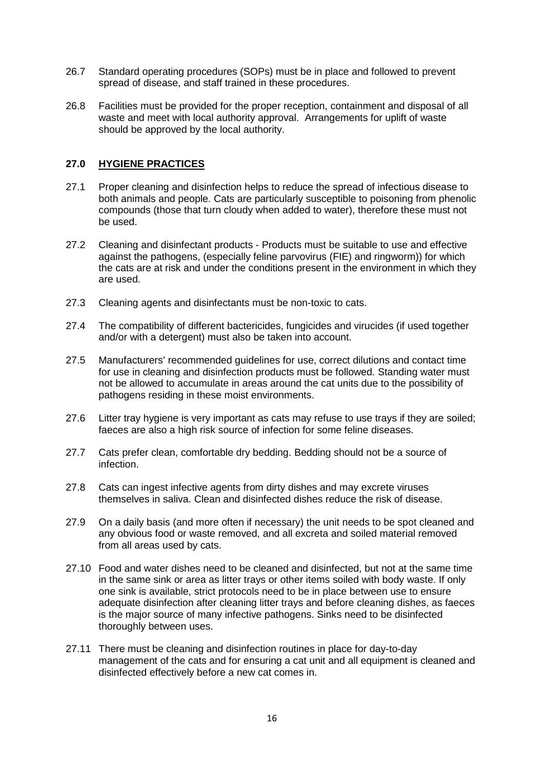- 26.7 Standard operating procedures (SOPs) must be in place and followed to prevent spread of disease, and staff trained in these procedures.
- 26.8 Facilities must be provided for the proper reception, containment and disposal of all waste and meet with local authority approval. Arrangements for uplift of waste should be approved by the local authority.

## **27.0 HYGIENE PRACTICES**

- 27.1 Proper cleaning and disinfection helps to reduce the spread of infectious disease to both animals and people. Cats are particularly susceptible to poisoning from phenolic compounds (those that turn cloudy when added to water), therefore these must not be used.
- 27.2 Cleaning and disinfectant products Products must be suitable to use and effective against the pathogens, (especially feline parvovirus (FIE) and ringworm)) for which the cats are at risk and under the conditions present in the environment in which they are used.
- 27.3 Cleaning agents and disinfectants must be non-toxic to cats.
- 27.4 The compatibility of different bactericides, fungicides and virucides (if used together and/or with a detergent) must also be taken into account.
- 27.5 Manufacturers' recommended guidelines for use, correct dilutions and contact time for use in cleaning and disinfection products must be followed. Standing water must not be allowed to accumulate in areas around the cat units due to the possibility of pathogens residing in these moist environments.
- 27.6 Litter tray hygiene is very important as cats may refuse to use trays if they are soiled; faeces are also a high risk source of infection for some feline diseases.
- 27.7 Cats prefer clean, comfortable dry bedding. Bedding should not be a source of infection.
- 27.8 Cats can ingest infective agents from dirty dishes and may excrete viruses themselves in saliva. Clean and disinfected dishes reduce the risk of disease.
- 27.9 On a daily basis (and more often if necessary) the unit needs to be spot cleaned and any obvious food or waste removed, and all excreta and soiled material removed from all areas used by cats.
- 27.10 Food and water dishes need to be cleaned and disinfected, but not at the same time in the same sink or area as litter trays or other items soiled with body waste. If only one sink is available, strict protocols need to be in place between use to ensure adequate disinfection after cleaning litter trays and before cleaning dishes, as faeces is the major source of many infective pathogens. Sinks need to be disinfected thoroughly between uses.
- 27.11 There must be cleaning and disinfection routines in place for day-to-day management of the cats and for ensuring a cat unit and all equipment is cleaned and disinfected effectively before a new cat comes in.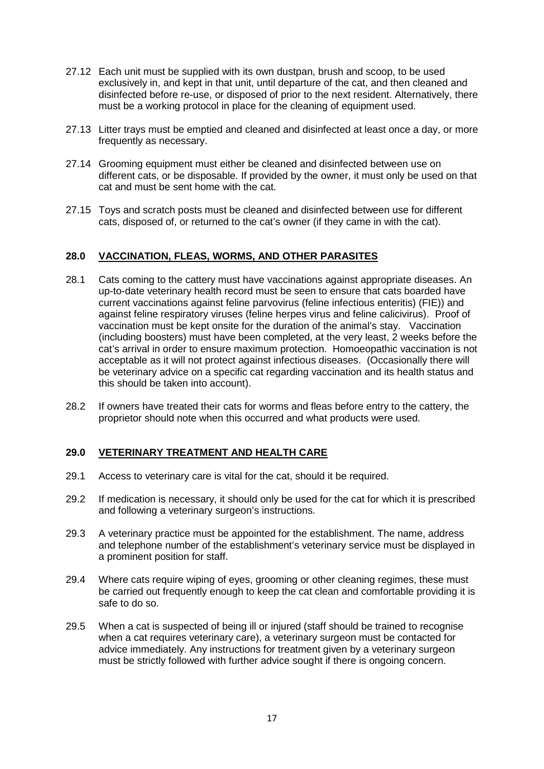- 27.12 Each unit must be supplied with its own dustpan, brush and scoop, to be used exclusively in, and kept in that unit, until departure of the cat, and then cleaned and disinfected before re-use, or disposed of prior to the next resident. Alternatively, there must be a working protocol in place for the cleaning of equipment used.
- 27.13 Litter trays must be emptied and cleaned and disinfected at least once a day, or more frequently as necessary.
- 27.14 Grooming equipment must either be cleaned and disinfected between use on different cats, or be disposable. If provided by the owner, it must only be used on that cat and must be sent home with the cat.
- 27.15 Toys and scratch posts must be cleaned and disinfected between use for different cats, disposed of, or returned to the cat's owner (if they came in with the cat).

## **28.0 VACCINATION, FLEAS, WORMS, AND OTHER PARASITES**

- 28.1 Cats coming to the cattery must have vaccinations against appropriate diseases. An up-to-date veterinary health record must be seen to ensure that cats boarded have current vaccinations against feline parvovirus (feline infectious enteritis) (FIE)) and against feline respiratory viruses (feline herpes virus and feline calicivirus). Proof of vaccination must be kept onsite for the duration of the animal's stay. Vaccination (including boosters) must have been completed, at the very least, 2 weeks before the cat's arrival in order to ensure maximum protection. Homoeopathic vaccination is not acceptable as it will not protect against infectious diseases. (Occasionally there will be veterinary advice on a specific cat regarding vaccination and its health status and this should be taken into account).
- 28.2 If owners have treated their cats for worms and fleas before entry to the cattery, the proprietor should note when this occurred and what products were used.

## **29.0 VETERINARY TREATMENT AND HEALTH CARE**

- 29.1 Access to veterinary care is vital for the cat, should it be required.
- 29.2 If medication is necessary, it should only be used for the cat for which it is prescribed and following a veterinary surgeon's instructions.
- 29.3 A veterinary practice must be appointed for the establishment. The name, address and telephone number of the establishment's veterinary service must be displayed in a prominent position for staff.
- 29.4 Where cats require wiping of eyes, grooming or other cleaning regimes, these must be carried out frequently enough to keep the cat clean and comfortable providing it is safe to do so.
- 29.5 When a cat is suspected of being ill or injured (staff should be trained to recognise when a cat requires veterinary care), a veterinary surgeon must be contacted for advice immediately. Any instructions for treatment given by a veterinary surgeon must be strictly followed with further advice sought if there is ongoing concern.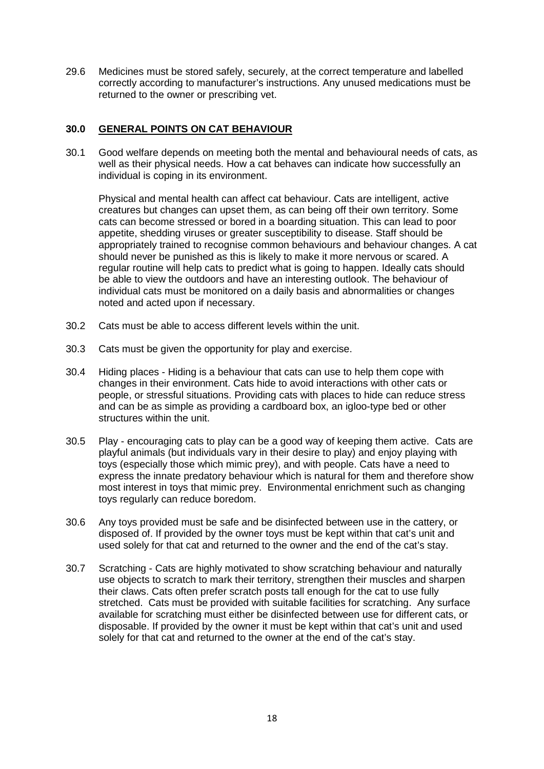29.6 Medicines must be stored safely, securely, at the correct temperature and labelled correctly according to manufacturer's instructions. Any unused medications must be returned to the owner or prescribing vet.

## **30.0 GENERAL POINTS ON CAT BEHAVIOUR**

30.1 Good welfare depends on meeting both the mental and behavioural needs of cats, as well as their physical needs. How a cat behaves can indicate how successfully an individual is coping in its environment.

Physical and mental health can affect cat behaviour. Cats are intelligent, active creatures but changes can upset them, as can being off their own territory. Some cats can become stressed or bored in a boarding situation. This can lead to poor appetite, shedding viruses or greater susceptibility to disease. Staff should be appropriately trained to recognise common behaviours and behaviour changes. A cat should never be punished as this is likely to make it more nervous or scared. A regular routine will help cats to predict what is going to happen. Ideally cats should be able to view the outdoors and have an interesting outlook. The behaviour of individual cats must be monitored on a daily basis and abnormalities or changes noted and acted upon if necessary.

- 30.2 Cats must be able to access different levels within the unit.
- 30.3 Cats must be given the opportunity for play and exercise.
- 30.4 Hiding places Hiding is a behaviour that cats can use to help them cope with changes in their environment. Cats hide to avoid interactions with other cats or people, or stressful situations. Providing cats with places to hide can reduce stress and can be as simple as providing a cardboard box, an igloo-type bed or other structures within the unit.
- 30.5 Play encouraging cats to play can be a good way of keeping them active. Cats are playful animals (but individuals vary in their desire to play) and enjoy playing with toys (especially those which mimic prey), and with people. Cats have a need to express the innate predatory behaviour which is natural for them and therefore show most interest in toys that mimic prey. Environmental enrichment such as changing toys regularly can reduce boredom.
- 30.6 Any toys provided must be safe and be disinfected between use in the cattery, or disposed of. If provided by the owner toys must be kept within that cat's unit and used solely for that cat and returned to the owner and the end of the cat's stay.
- 30.7 Scratching Cats are highly motivated to show scratching behaviour and naturally use objects to scratch to mark their territory, strengthen their muscles and sharpen their claws. Cats often prefer scratch posts tall enough for the cat to use fully stretched. Cats must be provided with suitable facilities for scratching. Any surface available for scratching must either be disinfected between use for different cats, or disposable. If provided by the owner it must be kept within that cat's unit and used solely for that cat and returned to the owner at the end of the cat's stay.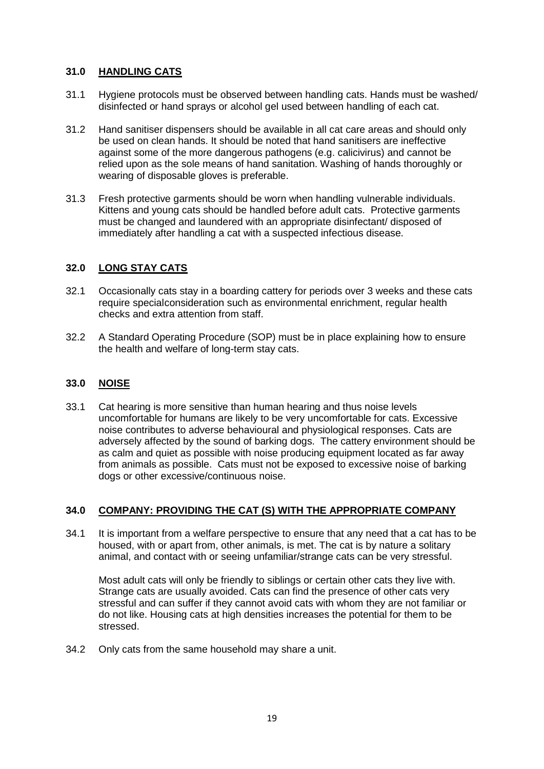## **31.0 HANDLING CATS**

- 31.1 Hygiene protocols must be observed between handling cats. Hands must be washed/ disinfected or hand sprays or alcohol gel used between handling of each cat.
- 31.2 Hand sanitiser dispensers should be available in all cat care areas and should only be used on clean hands. It should be noted that hand sanitisers are ineffective against some of the more dangerous pathogens (e.g. calicivirus) and cannot be relied upon as the sole means of hand sanitation. Washing of hands thoroughly or wearing of disposable gloves is preferable.
- 31.3 Fresh protective garments should be worn when handling vulnerable individuals. Kittens and young cats should be handled before adult cats. Protective garments must be changed and laundered with an appropriate disinfectant/ disposed of immediately after handling a cat with a suspected infectious disease.

## **32.0 LONG STAY CATS**

- 32.1 Occasionally cats stay in a boarding cattery for periods over 3 weeks and these cats require specialconsideration such as environmental enrichment, regular health checks and extra attention from staff.
- 32.2 A Standard Operating Procedure (SOP) must be in place explaining how to ensure the health and welfare of long-term stay cats.

## **33.0 NOISE**

33.1 Cat hearing is more sensitive than human hearing and thus noise levels uncomfortable for humans are likely to be very uncomfortable for cats. Excessive noise contributes to adverse behavioural and physiological responses. Cats are adversely affected by the sound of barking dogs.The cattery environment should be as calm and quiet as possible with noise producing equipment located as far away from animals as possible.Cats must not be exposed to excessive noise of barking dogs or other excessive/continuous noise.

## **34.0 COMPANY: PROVIDING THE CAT (S) WITH THE APPROPRIATE COMPANY**

34.1 It is important from a welfare perspective to ensure that any need that a cat has to be housed, with or apart from, other animals, is met. The cat is by nature a solitary animal, and contact with or seeing unfamiliar/strange cats can be very stressful.

Most adult cats will only be friendly to siblings or certain other cats they live with. Strange cats are usually avoided. Cats can find the presence of other cats very stressful and can suffer if they cannot avoid cats with whom they are not familiar or do not like. Housing cats at high densities increases the potential for them to be stressed.

34.2 Only cats from the same household may share a unit.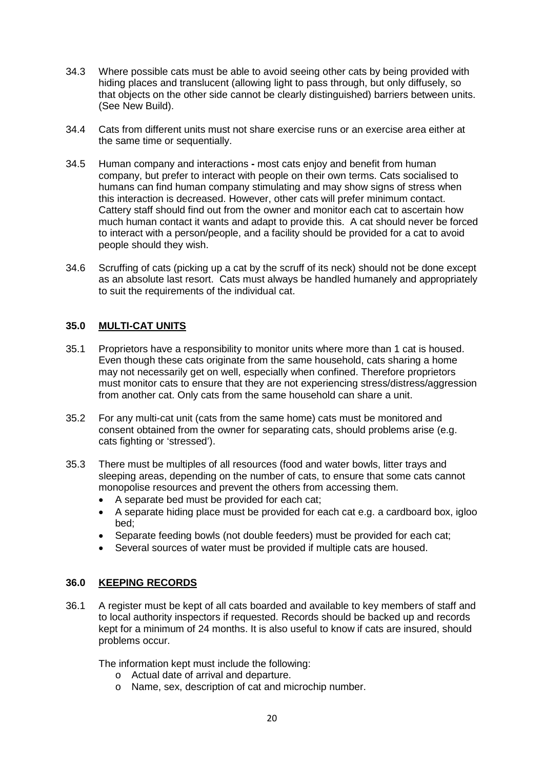- 34.3 Where possible cats must be able to avoid seeing other cats by being provided with hiding places and translucent (allowing light to pass through, but only diffusely, so that objects on the other side cannot be clearly distinguished) barriers between units. (See New Build).
- 34.4 Cats from different units must not share exercise runs or an exercise area either at the same time or sequentially.
- 34.5 Human company and interactions **-** most cats enjoy and benefit from human company, but prefer to interact with people on their own terms. Cats socialised to humans can find human company stimulating and may show signs of stress when this interaction is decreased. However, other cats will prefer minimum contact. Cattery staff should find out from the owner and monitor each cat to ascertain how much human contact it wants and adapt to provide this.A cat should never be forced to interact with a person/people, and a facility should be provided for a cat to avoid people should they wish.
- 34.6 Scruffing of cats (picking up a cat by the scruff of its neck) should not be done except as an absolute last resort. Cats must always be handled humanely and appropriately to suit the requirements of the individual cat.

## **35.0 MULTI-CAT UNITS**

- 35.1 Proprietors have a responsibility to monitor units where more than 1 cat is housed. Even though these cats originate from the same household, cats sharing a home may not necessarily get on well, especially when confined. Therefore proprietors must monitor cats to ensure that they are not experiencing stress/distress/aggression from another cat. Only cats from the same household can share a unit.
- 35.2 For any multi-cat unit (cats from the same home) cats must be monitored and consent obtained from the owner for separating cats, should problems arise (e.g. cats fighting or 'stressed').
- 35.3 There must be multiples of all resources (food and water bowls, litter trays and sleeping areas, depending on the number of cats, to ensure that some cats cannot monopolise resources and prevent the others from accessing them.
	- A separate bed must be provided for each cat;
	- A separate hiding place must be provided for each cat e.g. a cardboard box, igloo bed;
	- Separate feeding bowls (not double feeders) must be provided for each cat;
	- Several sources of water must be provided if multiple cats are housed.

## **36.0 KEEPING RECORDS**

36.1 A register must be kept of all cats boarded and available to key members of staff and to local authority inspectors if requested. Records should be backed up and records kept for a minimum of 24 months. It is also useful to know if cats are insured, should problems occur.

The information kept must include the following:

- o Actual date of arrival and departure.
- o Name, sex, description of cat and microchip number.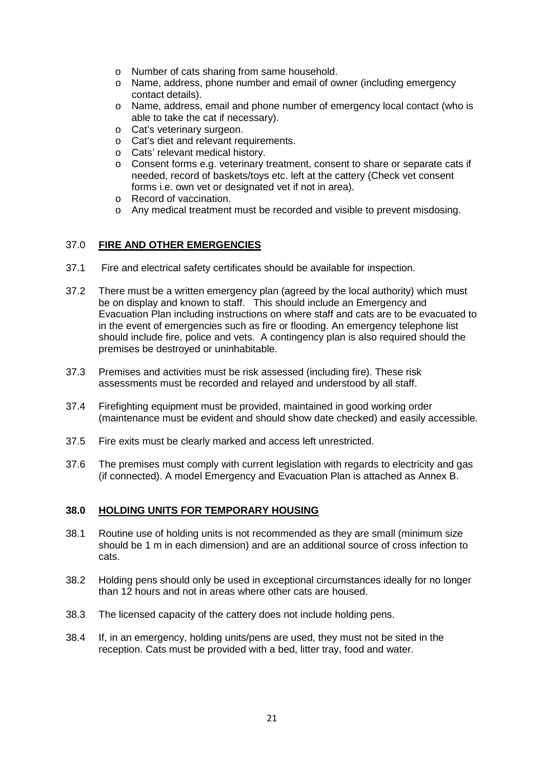- o Number of cats sharing from same household.
- o Name, address, phone number and email of owner (including emergency contact details).
- o Name, address, email and phone number of emergency local contact (who is able to take the cat if necessary).
- o Cat's veterinary surgeon.
- o Cat's diet and relevant requirements.
- o Cats' relevant medical history.
- o Consent forms e.g. veterinary treatment, consent to share or separate cats if needed, record of baskets/toys etc. left at the cattery (Check vet consent forms i.e. own vet or designated vet if not in area).
- o Record of vaccination.
- o Any medical treatment must be recorded and visible to prevent misdosing.

## 37.0 **FIRE AND OTHER EMERGENCIES**

- 37.1 Fire and electrical safety certificates should be available for inspection.
- 37.2 There must be a written emergency plan (agreed by the local authority) which must be on display and known to staff. This should include an Emergency and Evacuation Plan including instructions on where staff and cats are to be evacuated to in the event of emergencies such as fire or flooding. An emergency telephone list should include fire, police and vets. A contingency plan is also required should the premises be destroyed or uninhabitable.
- 37.3 Premises and activities must be risk assessed (including fire). These risk assessments must be recorded and relayed and understood by all staff.
- 37.4 Firefighting equipment must be provided, maintained in good working order (maintenance must be evident and should show date checked) and easily accessible.
- 37.5 Fire exits must be clearly marked and access left unrestricted.
- 37.6 The premises must comply with current legislation with regards to electricity and gas (if connected). A model Emergency and Evacuation Plan is attached as Annex B.

#### **38.0 HOLDING UNITS FOR TEMPORARY HOUSING**

- 38.1 Routine use of holding units is not recommended as they are small (minimum size should be 1 m in each dimension) and are an additional source of cross infection to cats.
- 38.2 Holding pens should only be used in exceptional circumstances ideally for no longer than 12 hours and not in areas where other cats are housed.
- 38.3 The licensed capacity of the cattery does not include holding pens.
- 38.4 If, in an emergency, holding units/pens are used, they must not be sited in the reception. Cats must be provided with a bed, litter tray, food and water.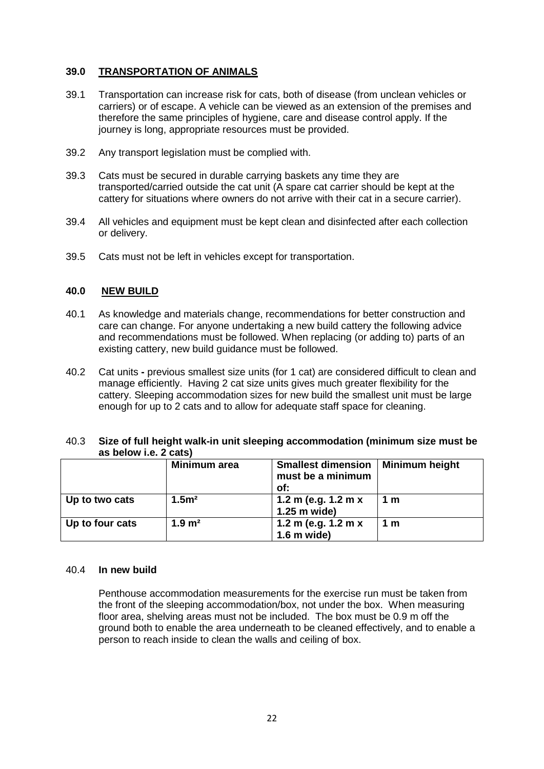## **39.0 TRANSPORTATION OF ANIMALS**

- 39.1 Transportation can increase risk for cats, both of disease (from unclean vehicles or carriers) or of escape. A vehicle can be viewed as an extension of the premises and therefore the same principles of hygiene, care and disease control apply. If the journey is long, appropriate resources must be provided.
- 39.2 Any transport legislation must be complied with.
- 39.3 Cats must be secured in durable carrying baskets any time they are transported/carried outside the cat unit (A spare cat carrier should be kept at the cattery for situations where owners do not arrive with their cat in a secure carrier).
- 39.4 All vehicles and equipment must be kept clean and disinfected after each collection or delivery.
- 39.5 Cats must not be left in vehicles except for transportation.

## **40.0 NEW BUILD**

- 40.1 As knowledge and materials change, recommendations for better construction and care can change. For anyone undertaking a new build cattery the following advice and recommendations must be followed. When replacing (or adding to) parts of an existing cattery, new build guidance must be followed.
- 40.2 Cat units **-** previous smallest size units (for 1 cat) are considered difficult to clean and manage efficiently.Having 2 cat size units gives much greater flexibility for the cattery. Sleeping accommodation sizes for new build the smallest unit must be large enough for up to 2 cats and to allow for adequate staff space for cleaning.

#### 40.3 **Size of full height walk-in unit sleeping accommodation (minimum size must be as below i.e. 2 cats)**

|                 | Minimum area          | <b>Smallest dimension</b><br>must be a minimum<br>of: | Minimum height |
|-----------------|-----------------------|-------------------------------------------------------|----------------|
| Up to two cats  | 1.5 <sup>m²</sup>     | 1.2 m (e.g. 1.2 m x<br>1.25 m wide)                   | 1 m            |
| Up to four cats | $1.9 \; \mathrm{m}^2$ | 1.2 m (e.g. 1.2 m x<br>$1.6$ m wide)                  | 1 m            |

#### 40.4 **In new build**

Penthouse accommodation measurements for the exercise run must be taken from the front of the sleeping accommodation/box, not under the box. When measuring floor area, shelving areas must not be included. The box must be 0.9 m off the ground both to enable the area underneath to be cleaned effectively, and to enable a person to reach inside to clean the walls and ceiling of box.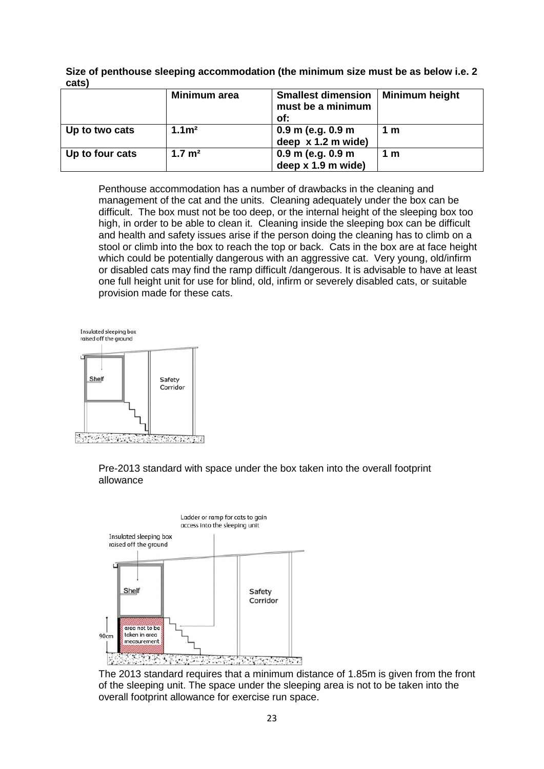**Size of penthouse sleeping accommodation (the minimum size must be as below i.e. 2 cats)**

|                 | Minimum area      | <b>Smallest dimension</b><br>must be a minimum<br>of: | Minimum height |
|-----------------|-------------------|-------------------------------------------------------|----------------|
| Up to two cats  | 1.1 <sup>m²</sup> | $0.9$ m (e.g. $0.9$ m<br>deep $x 1.2$ m wide)         | 1 m            |
| Up to four cats | $1.7 \text{ m}^2$ | $0.9$ m (e.g. $0.9$ m<br>deep $x 1.9$ m wide)         | 1 m            |

Penthouse accommodation has a number of drawbacks in the cleaning and management of the cat and the units. Cleaning adequately under the box can be difficult. The box must not be too deep, or the internal height of the sleeping box too high, in order to be able to clean it. Cleaning inside the sleeping box can be difficult and health and safety issues arise if the person doing the cleaning has to climb on a stool or climb into the box to reach the top or back. Cats in the box are at face height which could be potentially dangerous with an aggressive cat. Very young, old/infirm or disabled cats may find the ramp difficult /dangerous. It is advisable to have at least one full height unit for use for blind, old, infirm or severely disabled cats, or suitable provision made for these cats.

Insulated sleeping box raised off the ground



Pre-2013 standard with space under the box taken into the overall footprint allowance



The 2013 standard requires that a minimum distance of 1.85m is given from the front of the sleeping unit. The space under the sleeping area is not to be taken into the overall footprint allowance for exercise run space.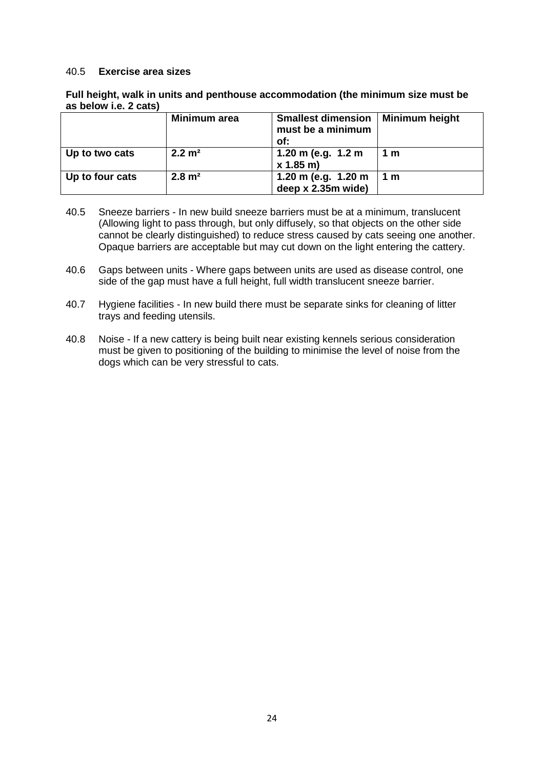#### 40.5 **Exercise area sizes**

| Full height, walk in units and penthouse accommodation (the minimum size must be |
|----------------------------------------------------------------------------------|
| as below i.e. 2 cats)                                                            |

|                 | Minimum area      | <b>Smallest dimension</b><br>must be a minimum<br>of: | <b>Minimum height</b> |
|-----------------|-------------------|-------------------------------------------------------|-----------------------|
| Up to two cats  | $2.2 \text{ m}^2$ | 1.20 m (e.g. $1.2$ m<br>x 1.85 m                      | 1 m                   |
| Up to four cats | $2.8 \text{ m}^2$ | 1.20 m (e.g. 1.20 m<br>deep x 2.35m wide)             | 1 m                   |

- 40.5 Sneeze barriers In new build sneeze barriers must be at a minimum, translucent (Allowing light to pass through, but only diffusely, so that objects on the other side cannot be clearly distinguished) to reduce stress caused by cats seeing one another. Opaque barriers are acceptable but may cut down on the light entering the cattery.
- 40.6 Gaps between units Where gaps between units are used as disease control, one side of the gap must have a full height, full width translucent sneeze barrier.
- 40.7 Hygiene facilities In new build there must be separate sinks for cleaning of litter trays and feeding utensils.
- 40.8 Noise If a new cattery is being built near existing kennels serious consideration must be given to positioning of the building to minimise the level of noise from the dogs which can be very stressful to cats.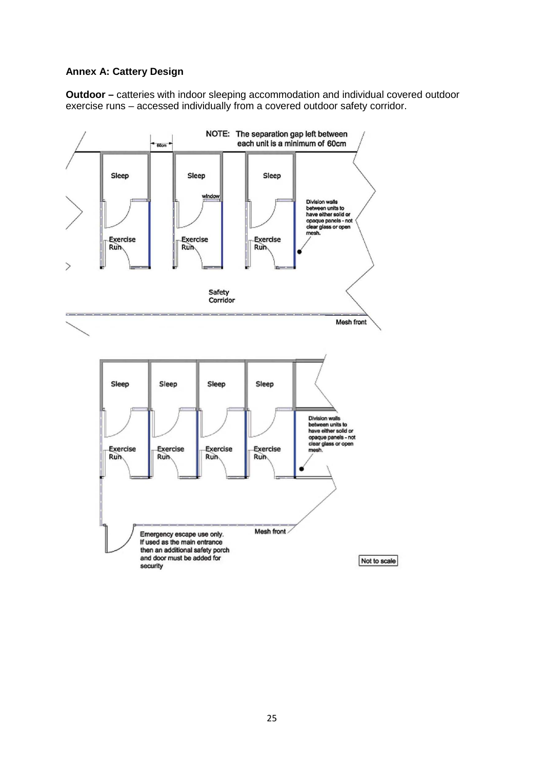## **Annex A: Cattery Design**

**Outdoor –** catteries with indoor sleeping accommodation and individual covered outdoor exercise runs – accessed individually from a covered outdoor safety corridor.

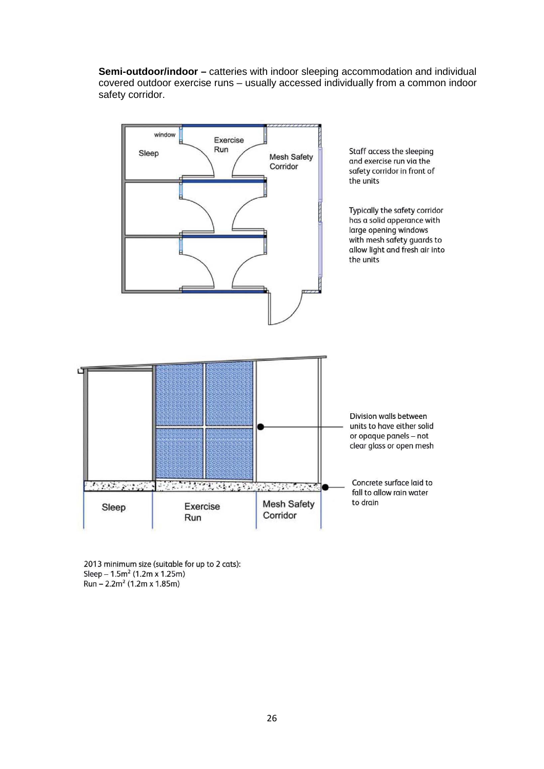**Semi-outdoor/indoor –** catteries with indoor sleeping accommodation and individual covered outdoor exercise runs – usually accessed individually from a common indoor safety corridor.



2013 minimum size (suitable for up to 2 cats): Sleep -  $1.5m^2$  (1.2m x 1.25m)<br>Run -  $2.2m^2$  (1.2m x 1.85m)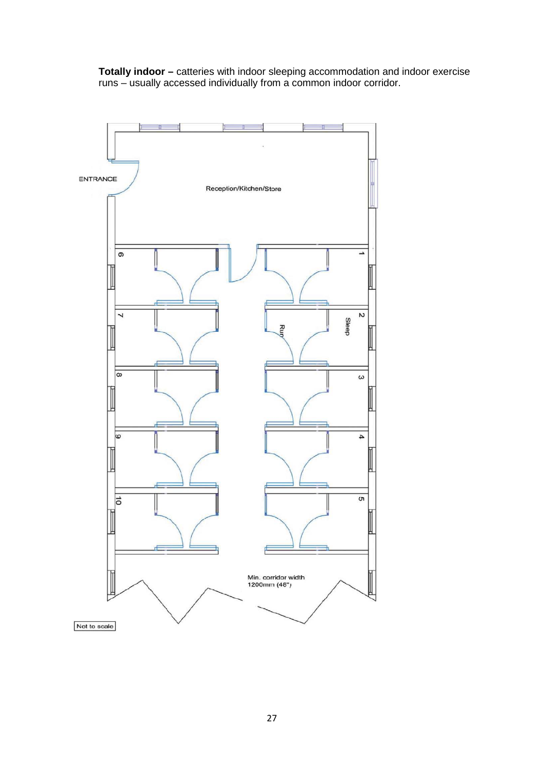**Totally indoor –** catteries with indoor sleeping accommodation and indoor exercise runs – usually accessed individually from a common indoor corridor.